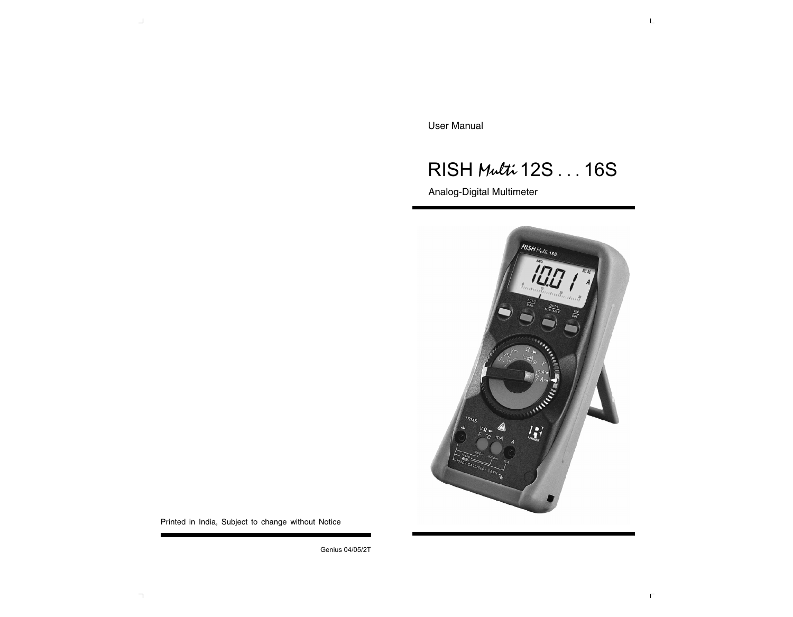User Manual

# *RISH Multi* 12S . . . 16S

Analog-Digital Multimeter



Printed in India, Subject to change without Notice

Genius 04/05/2T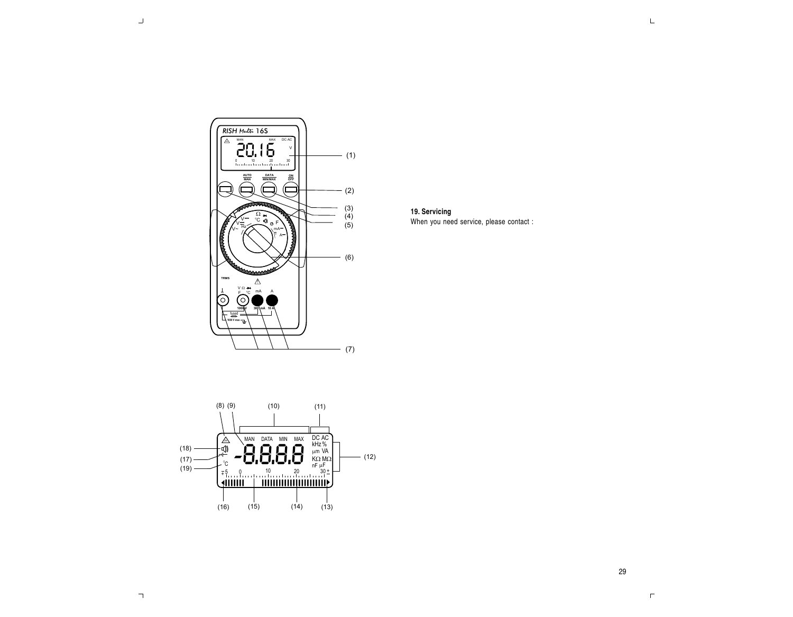

**19. Servicing**

When you need service, please contact :

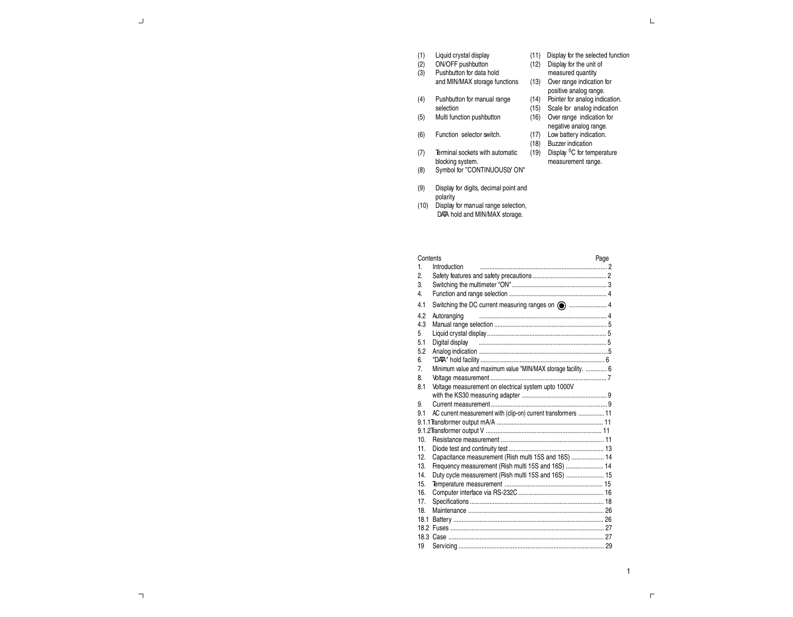| (1) |  | Liquid crystal display |
|-----|--|------------------------|
|     |  |                        |

- (2) ON/OFF pushbutton
- (3) Pushbutton for data hold
	- and MIN/MAX storage functions
- (4) Pushbutton for manual range selection
- (5) Multi function pushbutton
- (6) Function selector switch.
- (7) Terminal sockets with automatic
- blocking system. (8) Symbol for ''CONTINUOUSLY ON"
- (9) Display for digits, decimal point and polarity.
- (10) Display for manual range selection, DATA hold and MIN/MAX storage.
- (16) Over range indication for negative analog range. (17) Low battery indication. (18) Buzzer indication

(11) Display for the selected function (12) Display for the unit of measured quantity. (13) Over range indication for positive analog range. (14) Pointer for analog indication. (15) Scale for analog indication

- (19) Display <sup>0</sup>C for temperature
	- measurement range.

Contents Page 1. Introduction .............................................................................. 2 2. Safety features and safety precautions ............................................. 2 3. Switching the multimeter "ON" .......................................................... 3 4. Function and range selection ............................................................ 4 4.1 Switching the DC current measuring ranges on ....................... 4 4.2 Autoranging .............................................................................. 4 4.3 Manual range selection ..................................................................... 5 5 Liquid crystal display ......................................................................... 5 5.1 Digital display .............................................................................. 5 5.2 Analog indication ...............................................................................5 6. "DATA" hold facility ............................................................................ 6 7. Minimum value and maximum value "MIN/MAX storage facility. ............. 6 8. Voltage measurement ....................................................................... 7 8.1 Voltage measurement on electrical system upto 1000V with the KS30 measuring adapter .................................................... 9 9. Current measurement ....................................................................... 9 9.1 AC current measurement with (clip-on) current transformers ................. 11 9.1.1Transformer output mA/A ................................................................. 11 9.1.2Transformer output V ....................................................................... 11 10. Resistance measurement ............................................................... 11 11. Diode test and continuity test .......................................................... 13 12. Capacitance measurement (Rish multi 15S and 16S) .................... 14 13. Frequency measurement (Rish multi 15S and 16S) ....................... 14 14. Duty cycle measurement (Rish multi 15S and 16S) ....................... 15 15. Temperature measurement ............................................................ 15 16. Computer interface via RS-232C .................................................... 16 17. Specifications .................................................................................. 18 18. Maintenance ................................................................................... 26 18.1 Battery ............................................................................................ 26 18.2 Fuses .............................................................................................. 27 18.3 Case ............................................................................................... 27 19 Servicing ......................................................................................... 29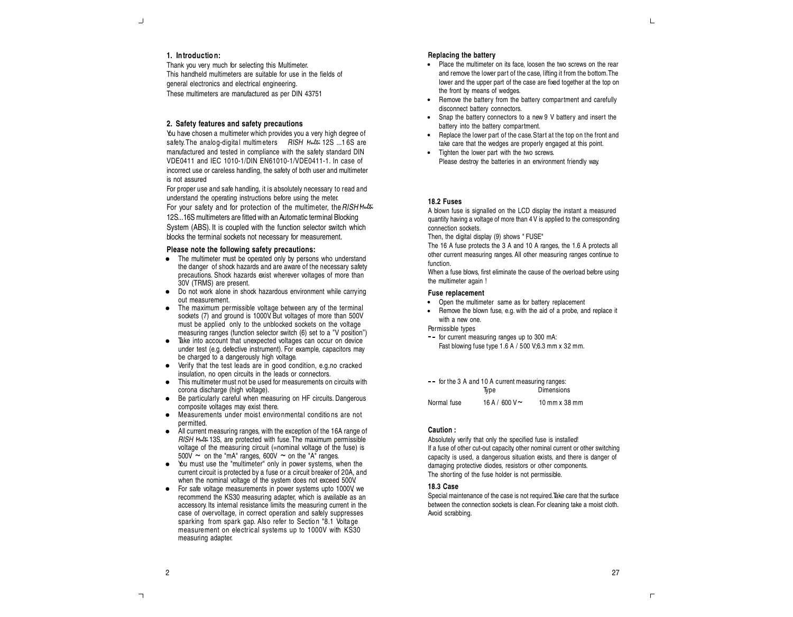# **1. Introductio n:**

Thank you very much for selecting this Multimeter. This handheld multimeters are suitable for use in the fields of general electronics and electrical engineering. These multimeters are manufactured as per DIN 43751

# **2. Safety features and safety precautions**

You have chosen a multimeter which provides you a very high degree of safety. The analog-digital multimeters RISH Multi 12S ... 16S are manufactured and tested in compliance with the safety standard DIN VDE0411 and IEC 1010-1/DIN EN61010-1/VDE0411-1. In case of incorrect use or careless handling, the safety of both user and multimeter is not assured

For proper use and safe handling, it is absolutely necessary to read and understand the operating instructions before using the meter. For your safety and for protection of the multimeter, the RISH Multi-12S...16S multimeters are fitted with an Automatic terminal Blocking System (ABS). It is coupled with the function selector switch which blocks the terminal sockets not necessary for measurement.

#### **Please note the following safety precautions:**

- The multimeter must be operated only by persons who understand the danger of shock hazards and are aware of the necessary safety precautions. Shock hazards exist wherever voltages of more than 30V (TRMS) are present.
- Do not work alone in shock hazardous environment while carrying out measurement.
- The maximum permissible voltage between any of the terminal sockets (7) and ground is 1000V. But voltages of more than 500V must be applied only to the unblocked sockets on the voltage measuring ranges (function selector switch (6) set to a ''V position'')
- Take into account that unexpected voltages can occur on device under test (e.g. defective instrument). For example, capacitors may be charged to a dangerously high voltage.
- Verify that the test leads are in good condition, e.g.no cracked insulation, no open circuits in the leads or connectors.
- This multimeter must not be used for measurements on circuits with corona discharge (high voltage).
- Be particularly careful when measuring on HF circuits. Dangerous composite voltages may exist there.
- Measurements under moist enviro nmental conditio ns are not  $\bullet$ permitted.
- All current measuring ranges, with the exception of the 16A range of RISH *Multi* 13S, are protected with fuse.The maximum permissible voltage of the measuring circuit (=nominal voltage of the fuse) is  $500V \sim$  on the "mA" ranges,  $600V \sim$  on the "A" ranges.
- You must use the "multimeter" only in power systems, when the current circuit is protected by a fuse or a circuit breaker of 20A, and when the nominal voltage of the system does not exceed 500V.
- For safe voltage measurements in power systems upto 1000V we recommend the KS30 measuring adapter, which is available as an accessory. Its internal resistance limits the measuring current in the case of overvoltage, in correct operation and safely suppresses sparking from spark gap. Also refer to Section "8.1 Voltage measurement on electrical systems up to 1000V with KS30 measuring adapter.

#### **Replacing the battery**

- Place the multimeter on its face, loosen the two screws on the rear and remove the lower part of the case, lifting it from the bottom.The lower and the upper part of the case are fixed together at the top on the front by means of wedges.
- Remove the battery from the battery compartment and carefully disconnect battery connectors.
- Snap the battery connectors to a new 9 V battery and insert the battery into the battery compartment.
- Replace the lower part of the case. Start at the top on the front and take care that the wedges are properly engaged at this point.
- Tighten the lower part with the two screws. Please destroy the batteries in an environment friendly way.

#### **18.2 Fuses**

A blown fuse is signalled on the LCD display the instant a measured quantity having a voltage of more than 4V is applied to the corresponding connection sockets.

Then, the digital display (9) shows " FUSE"

The 16 A fuse protects the 3 A and 10 A ranges, the 1.6 A protects all other current measuring ranges. All other measuring ranges continue to function.

When a fuse blows, first eliminate the cause of the overload before using the multimeter again !

#### **Fuse replacement**

- Open the multimeter same as for battery replacement
- Remove the blown fuse, e.g. with the aid of a probe, and replace it with a new one.

Permissible types

-- for current measuring ranges up to 300 mA: Fast blowing fuse type 1.6 A / 500 V;6.3 mm x 32 mm.

|             | $-$ for the 3 A and 10 A current measuring ranges: |                   |
|-------------|----------------------------------------------------|-------------------|
|             | Tvpe                                               | <b>Dimensions</b> |
| Normal fuse | 16 A / 600 V $\sim$                                | $10$ mm $x$ 38 mm |

#### **Caution :**

Absolutely verify that only the specified fuse is installed! If a fuse of other cut-out capacity, other nominal current or other switching capacity is used, a dangerous situation exists, and there is danger of damaging protective diodes, resistors or other components. The shorting of the fuse holder is not permissible.

#### **18.3 Case**

Special maintenance of the case is not required. Take care that the surface between the connection sockets is clean. For cleaning take a moist cloth. Avoid scrabbing.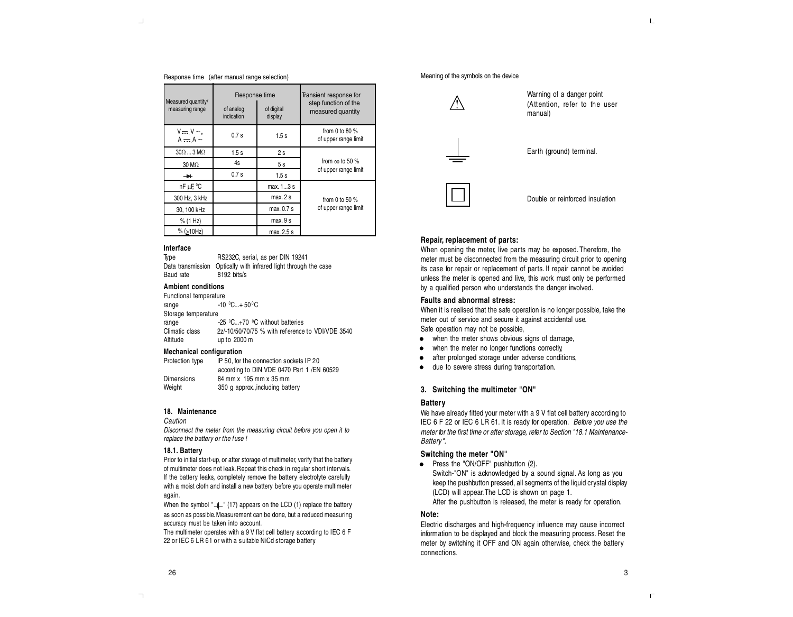#### Response time (after manual range selection)

| Measured quantity/<br>measuring range | Response time<br>of analog<br>indication | of digital<br>display | Transient response for<br>step function of the<br>measured quantity |  |  |
|---------------------------------------|------------------------------------------|-----------------------|---------------------------------------------------------------------|--|--|
| $V = V \sim$ ,<br>$A - A$             | 0.7s                                     | 1.5s                  | from 0 to 80 $%$<br>of upper range limit                            |  |  |
| $30\Omega$ $3 \text{ M}\Omega$        | 1.5s                                     | 2s                    |                                                                     |  |  |
| $30 \text{ M}\Omega$                  | 4s                                       | 5 s                   | from $\infty$ to 50 %                                               |  |  |
| $\rightarrow$                         | 0.7s                                     | 1.5s                  | of upper range limit                                                |  |  |
| nF µF, °C                             |                                          | max. 13 s             |                                                                     |  |  |
| 300 Hz, 3 kHz                         |                                          | max.2s                | from 0 to 50 $%$                                                    |  |  |
| 30, 100 kHz                           |                                          | max. 0.7 s            | of upper range limit                                                |  |  |
| % (1 Hz)                              |                                          | max. 9 s              |                                                                     |  |  |
| $%$ (>10Hz)                           |                                          | max. 2.5 s            |                                                                     |  |  |

#### **Interface**

Type **RS232C, serial, as per DIN 19241**<br>Data transmission Optically with infrared light through Optically with infrared light through the case Baud rate 8192 bits/s

# **Ambient conditions**

| Functional temperature |                                                  |
|------------------------|--------------------------------------------------|
| range                  | $-10$ °C+ 50 °C                                  |
| Storage temperature    |                                                  |
| range                  | -25 °C+70 °C without batteries                   |
| Climatic class         | 2z/-10/50/70/75 % with reference to VDI/VDE 3540 |
| Altitude               | up to 2000 m                                     |
|                        |                                                  |

# **Mechanical configuration**

Protection type IP 50, for the connection sockets IP 20 according to DIN VDE 0470 Part 1 /EN 60529 Dimensions 84 mm x 195 mm x 35 mm Weight 350 g approx., including battery

#### **18. Maintenance**

#### Caution

Disconnect the meter from the measuring circuit before you open it to replace the battery or the fuse !

#### **18.1. Battery**

Prior to initial start-up, or after storage of multimeter, verify that the battery of multimeter does not leak. Repeat this check in regular short intervals. If the battery leaks, completely remove the battery electrolyte carefully with a moist cloth and install a new battery before you operate multimeter again.

When the symbol " $\uparrow$ " (17) appears on the LCD (1) replace the battery as soon as possible.Measurement can be done, but a reduced measuring accuracy must be taken into account.

The multimeter operates with a 9 V flat cell battery according to IEC 6 F 22 or IEC 6 LR 61 or with a suitable NiCd storage battery.

#### Meaning of the symbols on the device



Earth (ground) terminal.

Warning of a danger point (Attention, refer to the user

manual)



Double or reinforced insulation

# **Repair, replacement of parts:**

When opening the meter, live parts may be exposed.Therefore, the meter must be disconnected from the measuring circuit prior to opening its case for repair or replacement of parts. If repair cannot be avoided unless the meter is opened and live, this work must only be performed by a qualified person who understands the danger involved.

# **Faults and abnormal stress:**

When it is realised that the safe operation is no longer possible, take the meter out of service and secure it against accidental use. Safe operation may not be possible,

- when the meter shows obvious signs of damage,
- when the meter no longer functions correctly,  $\bullet$
- $\bullet$ after prolonged storage under adverse conditions,
- due to severe stress during transportation.  $\bullet$

#### **3. Switching the multimeter "ON"**

# **Battery**

We have already fitted your meter with a 9 V flat cell battery according to IEC 6 F 22 or IEC 6 LR 61. It is ready for operation. Before you use the meter for the first time or after storage, refer to Section "18.1 Maintenance-Battery".

#### **Switching the meter "ON"**

• Press the "ON/OFF" pushbutton (2). Switch-"ON" is acknowledged by a sound signal. As long as you keep the pushbutton pressed, all segments of the liquid crystal display (LCD) will appear.The LCD is shown on page 1. After the pushbutton is released, the meter is ready for operation.

# **Note:**

Electric discharges and high-frequency influence may cause incorrect information to be displayed and block the measuring process. Reset the meter by switching it OFF and ON again otherwise, check the battery connections.

 $\overline{\phantom{a}}$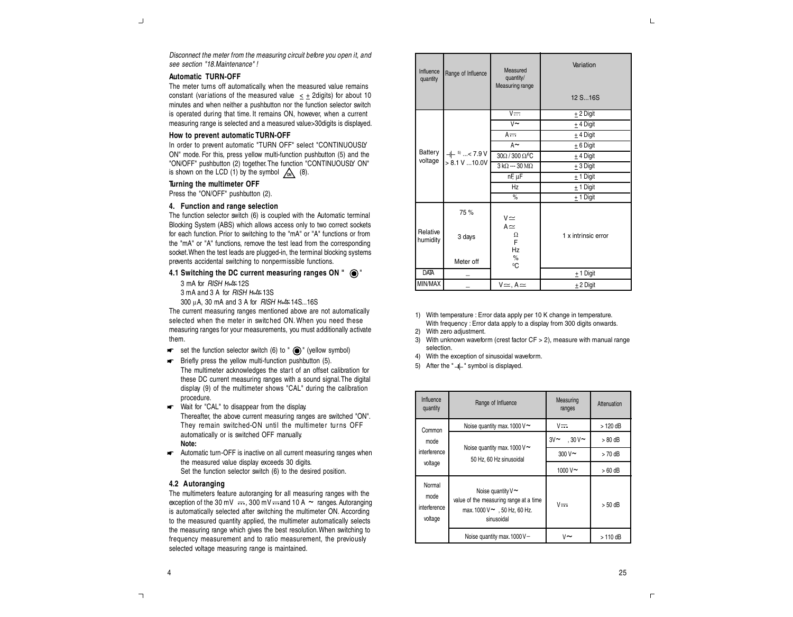$\mathbb{L}$ 

Disconnect the meter from the measuring circuit before you open it, and see section "18.Maintenance" !

# **Automatic TURN-OFF**

 $\perp$ 

The meter turns off automatically, when the measured value remains constant (variations of the measured value  $\leq \pm 2$  digits) for about 10 minutes and when neither a pushbutton nor the function selector switch is operated during that time. It remains ON, however, when a current measuring range is selected and a measured value>30digits is displayed.

#### **How to prevent automatic TURN-OFF**

In order to prevent automatic "TURN OFF" select "CONTINUOUSLY ON" mode. For this, press yellow multi-function pushbutton (5) and the "ON/OFF" pushbutton (2) together.The function "CONTINUOUSLY ON" is shown on the LCD  $(1)$  by the symbol  $\sqrt{6N}$   $(8)$ .

#### **Turning the multimeter OFF**

Press the "ON/OFF" pushbutton (2).

## **4. Function and range selection**

The function selector switch (6) is coupled with the Automatic terminal Blocking System (ABS) which allows access only to two correct sockets for each function. Prior to switching to the "mA" or "A" functions or from the "mA" or "A" functions, remove the test lead from the corresponding socket.When the test leads are plugged-in, the terminal blocking systems prevents accidental switching to nonpermissible functions.

# **4.1 Switching the DC current measuring ranges ON "** "

3 mA for RISH *Multi*12S

3 mA and 3 A for RISH *Multi*13S

300 mA, 30 mA and 3 A for RISH *Multi*14S...16S

The current measuring ranges mentioned above are not automatically selected when the meter in switched ON. When you need these measuring ranges for your measurements, you must additionally activate them.

- $\bullet\bullet\bullet$  set the function selector switch (6) to "  $\bullet\bullet\bullet$ " (yellow symbol)
- **F** Briefly press the yellow multi-function pushbutton (5).
- The multimeter acknowledges the start of an offset calibration for these DC current measuring ranges with a sound signal.The digital display (9) of the multimeter shows "CAL" during the calibration procedure.
- Wait for "CAL" to disappear from the display. Thereafter, the above current measuring ranges are switched "ON". They remain switched-ON until the multimeter turns OFF automatically or is switched OFF manually. **Note:**
- **Automatic turn-OFF** is inactive on all current measuring ranges when the measured value display exceeds 30 digits. Set the function selector switch (6) to the desired position.

# **4.2 Autoranging**

The multimeters feature autoranging for all measuring ranges with the exception of the 30 mV  $\cdots$ , 300 mV  $\cdots$  and 10 A  $\sim$  ranges. Autoranging is automatically selected after switching the multimeter ON. According to the measured quantity applied, the multimeter automatically selects the measuring range which gives the best resolution.When switching to frequency measurement and to ratio measurement, the previously selected voltage measuring range is maintained.

| Influence<br>quantity | Range of Influence                | Measured<br>quantity/<br>Measuring range | Variation<br>12 S 16S |
|-----------------------|-----------------------------------|------------------------------------------|-----------------------|
|                       |                                   | $V = -$                                  | $±$ 2 Digit           |
|                       |                                   | $V \sim$                                 | $±$ 4 Digit           |
|                       |                                   | $A =$                                    | $±$ 4 Digit           |
|                       |                                   | $A \sim$                                 | $± 6$ Digit           |
| Battery<br>voltage    | $+$ 5  < 7.9 V<br>> 8.1 V  10.0 V | 30Ω / 300 Ω/C                            | $±$ 4 Digit           |
|                       |                                   | $3 k\Omega - 30 M\Omega$                 | $±$ 3 Digit           |
|                       |                                   | $nF$ , $\overline{\mu}F$                 | $± 1$ Digit           |
|                       |                                   | Hz                                       | $± 1$ Digit           |
|                       |                                   | $\%$                                     | $± 1$ Digit           |
|                       | 75 %                              | $V \simeq$<br>$A \simeq$                 |                       |
| Relative<br>humidity  | 3 days                            | Ω<br>E<br>Hz                             | 1 x intrinsic error   |
|                       | Meter off                         | $\%$<br>$^0$ C                           |                       |
| <b>DATA</b>           |                                   |                                          | $± 1$ Digit           |
| MIN/MAX               |                                   | $V \simeq$ , $A \simeq$                  | $±$ 2 Digit           |

1) With temperature : Error data apply per 10 K change in temperature. With frequency : Error data apply to a display from 300 digits onwards.

- 2) With zero adjustment.
- 3) With unknown waveform (crest factor CF > 2), measure with manual range selection.
- 4) With the exception of sinusoidal waveform.
- 5) After the " $+$ " symbol is displayed.

| Influence<br>quantity                     | Range of Influence                                                                                                  | Measuring<br>ranges      | Attenuation |
|-------------------------------------------|---------------------------------------------------------------------------------------------------------------------|--------------------------|-------------|
| Common                                    | Noise quantity max. 1000 V $\sim$                                                                                   | $V = -$                  | $>120$ dB   |
| mode                                      |                                                                                                                     | $3V \sim$<br>$.30V \sim$ | $>80$ dB    |
| interference                              | Noise quantity max. 1000 V $\sim$<br>50 Hz, 60 Hz sinusoidal                                                        | $300V$ ~                 | $>70$ dB    |
| voltage                                   |                                                                                                                     | 1000 V~                  | $>60$ dB    |
| Normal<br>mode<br>interference<br>voltage | Noise quantity $V \sim$<br>value of the measuring range at a time<br>max. 1000 $V \sim 50$ Hz, 60 Hz.<br>sinusoidal | $V = -$                  | $> 50$ dB   |
|                                           | Noise quantity max. 1000 V-                                                                                         | v~                       | > 110 dB    |

 $\overline{\phantom{a}}$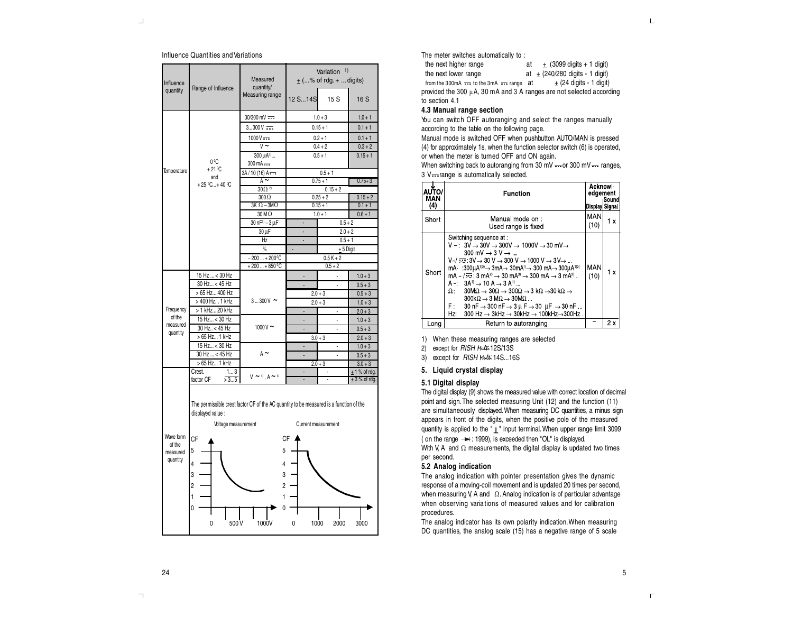#### Influence Quantities andVariations

| Influence<br>Range of Influence             |                                                                                                                                                                        | Measured<br>quantity/                 | Variation <sup>1)</sup><br>$\pm$ (% of rdg. +  digits) |                          |                        |  |
|---------------------------------------------|------------------------------------------------------------------------------------------------------------------------------------------------------------------------|---------------------------------------|--------------------------------------------------------|--------------------------|------------------------|--|
| quantity                                    |                                                                                                                                                                        | Measuring range                       | 12 S 14S                                               | 15S                      | 16 S                   |  |
|                                             |                                                                                                                                                                        | 30/300 mV ===                         |                                                        | $1.0 + 3$                | $1.0 + 1$              |  |
|                                             |                                                                                                                                                                        | $3300V =$                             |                                                        | $0.15 + 1$               | $0.1 + 1$              |  |
|                                             |                                                                                                                                                                        | $1000V = -$                           |                                                        | $0.2 + 1$                | $0.1 + 1$              |  |
|                                             |                                                                                                                                                                        | $V \sim$                              |                                                        | $0.4 + 2$                | $0.3 + 2$              |  |
|                                             |                                                                                                                                                                        | 300 µA <sup>2)</sup>                  |                                                        | $0.5 + 1$                | $0.15 + 1$             |  |
|                                             | 0 <sup>o</sup> C<br>$+21^{\circ}$ C                                                                                                                                    | $300 \text{ mA}$                      |                                                        |                          |                        |  |
| <b>Emperature</b>                           | and                                                                                                                                                                    | $3A / 10 (16) A =$                    |                                                        | $0.5 + 1$                |                        |  |
|                                             | +25 °C +40 °C                                                                                                                                                          | $A \sim$<br>$30 \Omega$ <sup>2)</sup> |                                                        | $0.75 + 1$               | $0.75 + 3$             |  |
|                                             |                                                                                                                                                                        | $300\Omega$                           |                                                        | $0.15 + 2$<br>$0.25 + 2$ | $0.15 + 2$             |  |
|                                             |                                                                                                                                                                        | $3K \Omega - 3M\Omega$                |                                                        | $0.15 + 1$               | $0.1 + 1$              |  |
|                                             |                                                                                                                                                                        | $30 M\Omega$                          |                                                        | $1.0 + 1$                | $0.6 + 1$              |  |
|                                             |                                                                                                                                                                        | $30 nF^{2} - 3 μF$                    |                                                        | $0.5 + 2$                |                        |  |
|                                             |                                                                                                                                                                        | $30 \mu F$                            | l,                                                     | $2.0 + 2$                |                        |  |
|                                             |                                                                                                                                                                        | Hz                                    | ÷,                                                     | $0.5 + 1$                |                        |  |
|                                             |                                                                                                                                                                        | $\%$                                  | $\blacksquare$                                         | $± 5$ Digit              |                        |  |
|                                             |                                                                                                                                                                        | $-200+200^{\circ}C$                   | $0.5K + 2$                                             |                          |                        |  |
|                                             |                                                                                                                                                                        | $+200+850$ <sup>°</sup> C             | $0.5 + 2$                                              |                          |                        |  |
|                                             | 15 Hz  < 30 Hz                                                                                                                                                         |                                       |                                                        |                          | $1.0 + 3$              |  |
|                                             | 30 Hz < 45 Hz                                                                                                                                                          |                                       |                                                        | l,                       | $0.5 + 3$              |  |
|                                             | > 65 Hz 400 Hz                                                                                                                                                         |                                       | $2.0 + 3$<br>$0.5 + 3$                                 |                          |                        |  |
|                                             | > 400 Hz 1 kHz                                                                                                                                                         | $3300V \sim$                          |                                                        | $2.0 + 3$                | $1.0 + 3$              |  |
| Frequency<br>of the                         | > 1 kHz 20 kHz<br>15 Hz < 30 Hz                                                                                                                                        |                                       |                                                        |                          | $2.0 + 3$              |  |
| measured                                    | 30 Hz., < 45 Hz                                                                                                                                                        | $1000V \sim$                          |                                                        | J                        | $1.0 + 3$              |  |
| quantity                                    | > 65 Hz 1 kHz                                                                                                                                                          |                                       |                                                        | $3.0 + 3$                | $0.5 + 3$<br>$2.0 + 3$ |  |
|                                             | 15 Hz < 30 Hz                                                                                                                                                          |                                       |                                                        |                          | $1.0 + 3$              |  |
|                                             | 30 Hz  < 45 Hz                                                                                                                                                         | $A \sim$                              | ÷,                                                     |                          | $0.5 + 3$              |  |
|                                             | > 65 Hz 1 kHz                                                                                                                                                          |                                       |                                                        | $2.0 + 3$                | $3.0 + 3$              |  |
|                                             | Crest.<br>13                                                                                                                                                           |                                       |                                                        |                          | $± 1$ % of rdg.        |  |
|                                             | factor CF<br>>35                                                                                                                                                       | $V \sim 4$ , $A \sim 4$               |                                                        |                          | $±$ 3 % of rdg.        |  |
| Wave form<br>of the<br>measured<br>quantity | The permissible crest factor CF of the AC quantity to be measured is a function of the<br>displayed value :<br>Voltage measurement<br>СF<br>5<br>4<br>3<br>2<br>1<br>0 | 5<br>4<br>3<br>2<br>1<br>N            | Current measurement<br>CF                              |                          |                        |  |
|                                             | 0<br>500 V                                                                                                                                                             | 1000V                                 | 0<br>1000                                              | 2000                     | 3000                   |  |

The meter switches automatically to :

the next higher range at  $\pm$  (3099 digits + 1 digit) the next lower range  $at \pm (240/280 \text{ digits} - 1 \text{ digit})$ from the 300mA  $\overline{\cdots}$  to the 3mA  $\overline{\cdots}$  range at  $\pm$  (24 digits - 1 digit) provided the 300  $\mu$ A, 30 mA and 3 A ranges are not selected according to section 4.1

# **4.3 Manual range section**

You can switch OFF autoranging and select the ranges manually according to the table on the following page.

Manual mode is switched OFF when pushbutton AUTO/MAN is pressed (4) for approximately 1s, when the function selector switch (6) is operated, or when the meter is turned OFF and ON again.

When switching back to autoranging from 30 mV  $\cdots$  or 300 mV  $\cdots$  ranges,  $3 V =$ range is automatically selected.

| <b>AUTO/</b><br>MAN<br>(4) | <b>Function</b>                                                                                                                                                                                                                                                                                                                                                                                                                                                                                                                                                                                                                                                                                                                                                                                                                                                                                                                                                                                                                                                                                                  | <b>Acknowl-</b><br>edgement<br>Display Signal | <b>Sound</b> |
|----------------------------|------------------------------------------------------------------------------------------------------------------------------------------------------------------------------------------------------------------------------------------------------------------------------------------------------------------------------------------------------------------------------------------------------------------------------------------------------------------------------------------------------------------------------------------------------------------------------------------------------------------------------------------------------------------------------------------------------------------------------------------------------------------------------------------------------------------------------------------------------------------------------------------------------------------------------------------------------------------------------------------------------------------------------------------------------------------------------------------------------------------|-----------------------------------------------|--------------|
| Short                      | Manual mode on :<br>Used range is fixed                                                                                                                                                                                                                                                                                                                                                                                                                                                                                                                                                                                                                                                                                                                                                                                                                                                                                                                                                                                                                                                                          | <b>MAN</b><br>(10)                            | 1 x          |
| Short                      | Switching sequence at :<br>$V -$ : 3V $\rightarrow$ 30V $\rightarrow$ 300V $\rightarrow$ 1000V $\rightarrow$ 30 mV $\rightarrow$<br>$300 \text{ mV} \rightarrow 3 \text{ V} \rightarrow $<br>$V \sim l \equiv 3V \rightarrow 30 V \rightarrow 300 V \rightarrow 1000 V \rightarrow 3V \rightarrow $<br>mA :300uA <sup>1/2</sup> $\rightarrow$ 3mA $\rightarrow$ 30mA <sup>1</sup> $\rightarrow$ 300 mA $\rightarrow$ 300uA <sup>1/2</sup><br>mA ~ $/\overline{\infty}$ : 3 mA <sup>2</sup> ) $\rightarrow$ 30 mA <sup>3</sup> ) $\rightarrow$ 300 mA $\rightarrow$ 3 mA <sup>2</sup> )<br>$A - 3A^{\dagger} \rightarrow 10 A \rightarrow 3 A^{\dagger}$<br>$30\text{M}\Omega \rightarrow 30\Omega \rightarrow 300\Omega \rightarrow 3 \text{ k}\Omega \rightarrow 30 \text{ k}\Omega \rightarrow$<br>$\Omega$ .<br>$300k\Omega \rightarrow 3 M\Omega \rightarrow 30M\Omega$<br>F: $30 \text{ nF} \rightarrow 300 \text{ nF} \rightarrow 3 \text{ \mu F} \rightarrow 30 \text{ \mu F} \rightarrow 30 \text{ nF}$<br>300 Hz $\rightarrow$ 3kHz $\rightarrow$ 30kHz $\rightarrow$ 100kHz $\rightarrow$ 300Hz<br>Hz: | <b>MAN</b><br>(10)                            | 1 x          |
| l ona                      | Return to autoranging                                                                                                                                                                                                                                                                                                                                                                                                                                                                                                                                                                                                                                                                                                                                                                                                                                                                                                                                                                                                                                                                                            |                                               | 2x           |

1) When these measuring ranges are selected

2) except for RISH *Multi*12S/13S

3) except for RISH *Multi* 14S...16S

# **5. Liquid crystal display**

# **5.1 Digital display**

The digital display (9) shows the measured value with correct location of decimal point and sign.The selected measuring Unit (12) and the function (11) are simultaneously displayed.When measuring DC quantities, a minus sign appears in front of the digits, when the positive pole of the measured quantity is applied to the " | " input terminal. When upper range limit 3099 ( on the range  $-\rightarrow$ : 1999), is exceeded then "OL" is displayed. With V, A and  $\Omega$  measurements, the digital display is updated two times per second.

## **5.2 Analog indication**

The analog indication with pointer presentation gives the dynamic response of a moving-coil movement and is updated 20 times per second, when measuring V, A and  $\Omega$ . Analog indication is of particular advantage when observing varia tions of measured values and for calibration procedures.

The analog indicator has its own polarity indication. When measuring DC quantities, the analog scale (15) has a negative range of 5 scale

# 24

 $\mathsf{L}% _{\mathsf{L}}$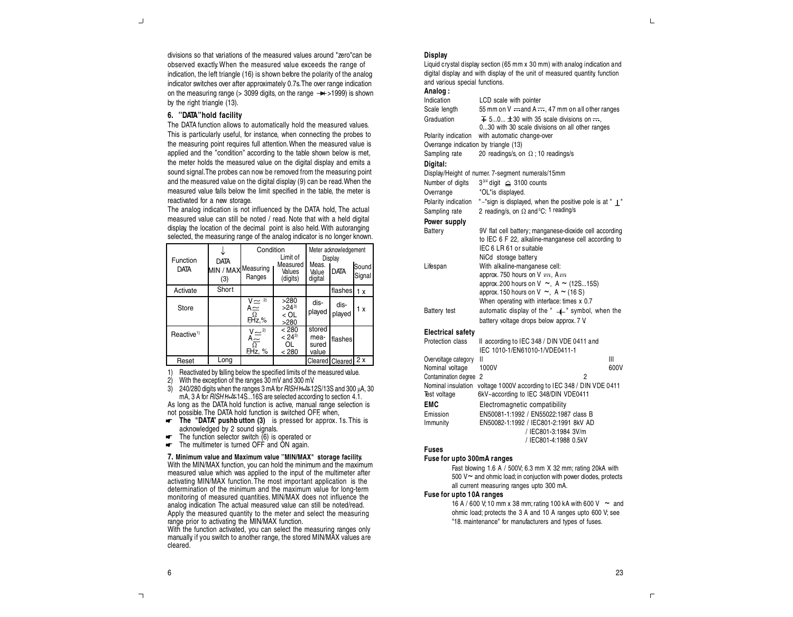divisions so that variations of the measured values around "zero"can be observed exactly. When the measured value exceeds the range of indication, the left triangle (16) is shown before the polarity of the analog indicator switches over after approximately 0.7s.The over range indication on the measuring range ( $>$  3099 digits, on the range  $\rightarrow$  1999) is shown by the right triangle (13).

# **6. ''DATA''hold facility**

The DATA function allows to automatically hold the measured values. This is particularly useful, for instance, when connecting the probes to the measuring point requires full attention.When the measured value is applied and the ''condition'' according to the table shown below is met, the meter holds the measured value on the digital display and emits a sound signal.The probes can now be removed from the measuring point and the measured value on the digital display (9) can be read.When the measured value falls below the limit specified in the table, the meter is reactivated for a new storage.

The analog indication is not influenced by the DATA hold, The actual measured value can still be noted / read. Note that with a held digital display, the location of the decimal point is also held.With autoranging selected, the measuring range of the analog indicator is no longer known.

| Function<br><b>DATA</b> | <b>DATA</b><br>MIN / MAX Measuring<br>(3) | Condition<br>Ranges                                                | Limit of<br>Measured<br>Values<br>(digits) | Meas.<br>Value<br>digital        | Meter acknowledgement<br>Display<br><b>DATA</b> | Sound<br>Signal |
|-------------------------|-------------------------------------------|--------------------------------------------------------------------|--------------------------------------------|----------------------------------|-------------------------------------------------|-----------------|
| Activate                | Short                                     |                                                                    |                                            |                                  | flashes                                         | 1 x             |
| Store                   |                                           | $V \approx 2$<br>$A \simeq$<br>$\mathop{\hbox{\rm GL}}\nolimits_2$ | >280<br>$>24^{3}$<br>$<$ OL<br>>280        | dis-<br>played                   | dis-<br>played                                  | 1 x             |
| Reactive <sup>1)</sup>  |                                           | $\overline{X} \simeq^{2}$<br>$\overline{A} \simeq^{2}$<br>FHz, %   | < 280<br>$< 24^{3}$<br>OL<br>< 280         | stored<br>mea-<br>sured<br>value | <b>Iflashes</b>                                 |                 |
| Reset                   | Long                                      |                                                                    |                                            |                                  | Cleared Cleared                                 | 2x              |

1) Reactivated by falling below the specified limits of the measured value.<br>2) With the exception of the ranges 30 mV and 300 mV

2) With the exception of the ranges 30 mV and 300 mV.

240/280 digits when the ranges 3 mA for RISH Multiing 12S/13S and 300  $\mu$ A, 30 mA, 3 A for RISH *Multi*14S...16S are selected according to section 4.1.

As long as the DATA hold function is active, manual range selection is not possible.The DATA hold function is switched OFF, when,

- **The "DATA" pushb utton (3)** is pressed for approx. 1s.This is acknowledged by 2 sound signals.
- юŤ. The function selector switch  $(6)$  is operated or
- The multimeter is turned OFF and ON again. юF.

**7. Minimum value and Maximum value ''MIN/MAX" storage facility.**

With the MIN/MAX function, you can hold the minimum and the maximum measured value which was applied to the input of the multimeter after activating MIN/MAX function.The most important application is the determination of the minimum and the maximum value for long-term monitoring of measured quantities. MIN/MAX does not influence the analog indication The actual measured value can still be noted/read. Apply the measured quantity to the meter and select the measuring range prior to activating the MIN/MAX function.

With the function activated, you can select the measuring ranges only manually, if you switch to another range, the stored MIN/MAX values are cleared.

#### **Display**

Liquid crystal display section (65 mm x 30 mm) with analog indication and digital display and with display of the unit of measured quantity, function and various special functions.

# **Analog :**

| Indication                            | LCD scale with pointer                                                                                                                                                                                      |
|---------------------------------------|-------------------------------------------------------------------------------------------------------------------------------------------------------------------------------------------------------------|
| Scale length                          | 55 mm on V --- and A ---, 47 mm on all other ranges                                                                                                                                                         |
| Graduation                            | $\overline{+}$ 50 $\pm$ 30 with 35 scale divisions on $\overline{-}$ ,<br>030 with 30 scale divisions on all other ranges                                                                                   |
| Polarity indication                   | with automatic change-over                                                                                                                                                                                  |
| Overrange indication by triangle (13) |                                                                                                                                                                                                             |
| Sampling rate                         | 20 readings/s, on $\Omega$ ; 10 readings/s                                                                                                                                                                  |
| Digital:                              |                                                                                                                                                                                                             |
|                                       | Display/Height of numer. 7-segment numerals/15mm                                                                                                                                                            |
| Number of digits                      | $3^{3/4}$ digit $\triangleq$ 3100 counts                                                                                                                                                                    |
| Overrange                             | "OL"is displayed.                                                                                                                                                                                           |
| Polarity indication                   | "-"sign is displayed, when the positive pole is at " $\perp$ "                                                                                                                                              |
| Sampling rate                         | 2 reading/s, on $\Omega$ and °C: 1 reading/s                                                                                                                                                                |
| Power supply                          |                                                                                                                                                                                                             |
| Battery                               | 9V flat cell battery; manganese-dioxide cell according<br>to IEC 6 F 22, alkaline-manganese cell according to<br>IEC 6 LR 61 or suitable<br>NiCd storage battery.                                           |
| Lifespan                              | With alkaline-manganese cell:<br>approx. 750 hours on $V = 0$ , A<br>approx.200 hours on V ~, A ~ (12S15S)<br>approx. 150 hours on $V \sim$ , A $\sim$ (16 S)<br>When operating with interface: times x 0.7 |
| Battery test                          | automatic display of the " --- " symbol, when the<br>battery voltage drops below approx. 7 V.                                                                                                               |
| <b>Electrical safety</b>              |                                                                                                                                                                                                             |
| Protection class                      | II according to IEC 348 / DIN VDE 0411 and<br>IEC 1010-1/EN61010-1/VDE0411-1                                                                                                                                |
| Overvoltage category                  | Ш<br>Ш                                                                                                                                                                                                      |
| Nominal voltage                       | 1000V<br>600V                                                                                                                                                                                               |
| Contamination degree                  | 2<br>$\overline{2}$                                                                                                                                                                                         |
| Nominal insulation<br>Test voltage    | voltage 1000V according to IEC 348 / DIN VDE 0411<br>6kV~according to IEC 348/DIN VDE0411                                                                                                                   |
| <b>EMC</b>                            | Electromagnetic compatibility                                                                                                                                                                               |
| Emission<br>Immunity                  | EN50081-1:1992 / EN55022:1987 class B<br>EN50082-1:1992 / IEC801-2:1991 8kV AD                                                                                                                              |
|                                       | / IEC801-3:1984 3V/m                                                                                                                                                                                        |
|                                       | / IEC801-4:1988 0.5kV                                                                                                                                                                                       |
| Fuses                                 |                                                                                                                                                                                                             |
|                                       |                                                                                                                                                                                                             |

#### **Fuse for upto 300mA ranges**

Fast blowing 1.6 A / 500V; 6.3 mm X 32 mm; rating 20kA with 500  $V \sim$  and ohmic load; in conjuction with power diodes, protects all current measuring ranges upto 300 mA.

# **Fuse for upto 10A ranges**

16 A / 600 V; 10 mm x 38 mm; rating 100 kA with 600 V  $\sim$  and ohmic load; protects the 3 A and 10 A ranges upto 600 V; see "18. maintenance" for manufacturers and types of fuses.

 $\mathsf{L}$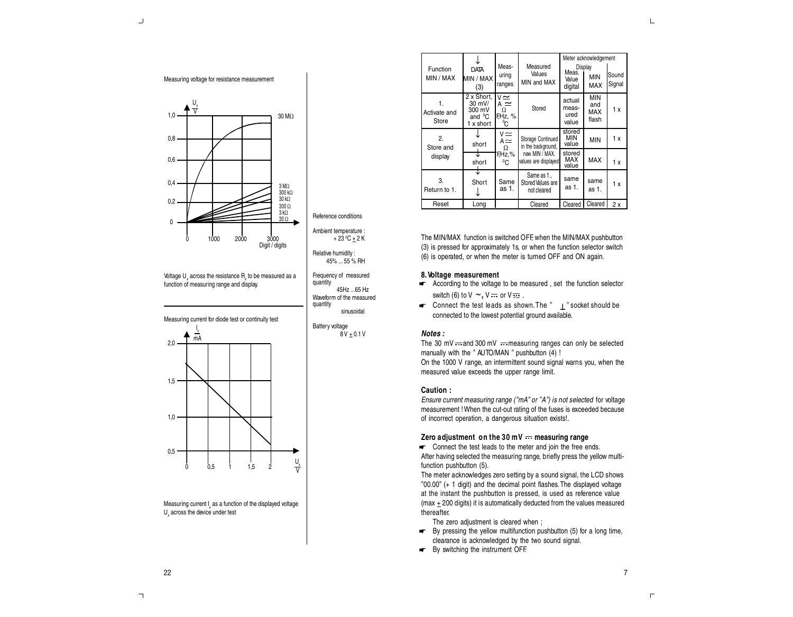

Voltage  $U_{x}$  across the resistance  $R_{x}$  to be measured as a function of measuring range and display.



Measuring current I as a function of the displayed voltage  $U_{\rm x}$  across the device under test

|                             |                                                                   |                                                |                                                                                   | Meter acknowledgement            |                                   |                 |
|-----------------------------|-------------------------------------------------------------------|------------------------------------------------|-----------------------------------------------------------------------------------|----------------------------------|-----------------------------------|-----------------|
| Function<br>MIN / MAX       | <b>DATA</b><br>MIN / MAX<br>(3)                                   | Meas-<br>uring<br>ranges                       | Measured<br>Values<br>MIN and MAX                                                 | Meas.<br>Value<br>digital        | Display<br><b>MIN</b><br>MAX      | Sound<br>Signal |
| 1.<br>Activate and<br>Store | 2 x Short.<br>30 mV/<br>300 mV<br>and <sup>o</sup> C<br>1 x short | $v \simeq$<br>$A \simeq$<br>Ω<br>F.Hz, %<br>°C | Stored                                                                            | actual<br>meas-<br>ured<br>value | <b>MIN</b><br>and<br>MAX<br>flash | 1 x             |
| 2.<br>Store and             | short                                                             | $V \simeq$<br>$A \simeq$<br>Ω<br>FHz.%<br>°C   | Storage Continued<br>in the background,<br>new MIN / MAX.<br>values are displayed | stored<br>MIN<br>value           | <b>MIN</b>                        | 1x              |
| display                     | short                                                             |                                                |                                                                                   | stored<br>MAX<br>value           | MAX                               | 1x              |
| 3.<br>Return to 1.          | Short                                                             | Same<br>as 1.                                  | Same as 1.<br>Stored Values are<br>not cleared                                    | same<br>as 1.                    | same<br>as 1.                     | 1x              |
| Reset                       | Long                                                              |                                                | Cleared                                                                           | Cleared                          | Cleared                           | 2x              |
|                             |                                                                   |                                                |                                                                                   |                                  |                                   |                 |

The MIN/MAX function is switched OFF, when the MIN/MAX pushbutton (3) is pressed for approximately 1s, or when the function selector switch (6) is operated, or when the meter is turned OFF and ON again.

# **8.Voltage measurement**

- According to the voltage to be measured, set the function selector switch (6) to  $V \sim$ ,  $V \rightleftharpoons$  or  $V \rightleftharpoons$ .
- $\blacksquare$  Connect the test leads as shown. The "  $\bot$  " socket should be connected to the lowest potential ground available.

## **Notes :**

+ 23 ºC ± 2 K

45Hz ...65 Hz

sinusoidal

 $8V + 0.1V$ 

45% ... 55 % RH Frequency of measured

quantity

The 30 mV  $\cdots$  and 300 mV  $\cdots$  measuring ranges can only be selected manually with the " AUTO/MAN " pushbutton (4) ! On the 1000 V range, an intermittent sound signal warns you, when the measured value exceeds the upper range limit.

#### **Caution :**

Ensure current measuring range ("mA" or "A") is not selected for voltage measurement ! When the cut-out rating of the fuses is exceeded because of incorrect operation, a dangerous situation exists!.

#### **Zero adjustment on the 30 mV measuring range**

Connect the test leads to the meter and join the free ends. After having selected the measuring range, briefly press the yellow multifunction pushbutton (5).

The meter acknowledges zero setting by a sound signal, the LCD shows ''00.00'' (+ 1 digit) and the decimal point flashes.The displayed voltage at the instant the pushbutton is pressed, is used as reference value (max  $\pm$  200 digits) it is automatically deducted from the values measured thereafter.

The zero adjustment is cleared when ;

- By pressing the yellow multifunction pushbutton (5) for a long time, clearance is acknowledged by the two sound signal.
- By switching the instrument OFF.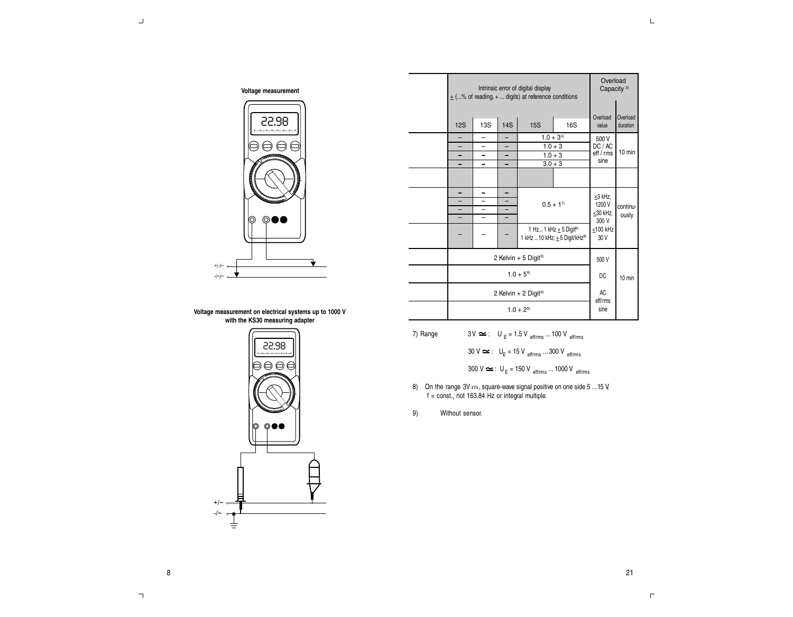Overload Capacity<sup>3)</sup>

| Voltage measurement |  |
|---------------------|--|
|                     |  |



|  | $\pm$ (% of reading. $+$ digits) at reference conditions         |                          |          |                                                                                         |                  |                      |                      |  |  |
|--|------------------------------------------------------------------|--------------------------|----------|-----------------------------------------------------------------------------------------|------------------|----------------------|----------------------|--|--|
|  | Overload<br><b>13S</b><br><b>14S</b><br>12S<br><b>15S</b><br>16S |                          |          |                                                                                         |                  |                      | Overload<br>duration |  |  |
|  |                                                                  |                          |          |                                                                                         |                  | 500 V                |                      |  |  |
|  | -                                                                | -                        |          |                                                                                         | $1.0 + 3^{4}$    |                      |                      |  |  |
|  | $\overline{\phantom{0}}$                                         | $\overline{\phantom{0}}$ |          | $1.0 + 3$                                                                               |                  | DC / AC<br>eff / rms | 10 min               |  |  |
|  | -                                                                | Ξ.                       | -        | $1.0 + 3$                                                                               |                  | sine                 |                      |  |  |
|  | $\overline{\phantom{0}}$                                         | $\overline{\phantom{0}}$ | -        |                                                                                         | $3.0 + 3$        |                      |                      |  |  |
|  |                                                                  |                          |          |                                                                                         |                  |                      |                      |  |  |
|  | -                                                                |                          |          |                                                                                         | ≤3 kHz;          |                      |                      |  |  |
|  | -                                                                |                          |          |                                                                                         | $0.5 + 1^{7}$    | 1200 V               |                      |  |  |
|  | -<br>-<br>-                                                      |                          |          |                                                                                         |                  | ≤30 kHz;             | continu-<br>ously    |  |  |
|  | -                                                                |                          |          |                                                                                         | 300 V            |                      |                      |  |  |
|  |                                                                  |                          |          | 1 Hz 1 kHz $\pm$ 5 Digit <sup>8)</sup><br>1 kHz 10 kHz; $\pm$ 5 Digit/kHz <sup>8)</sup> | ≤100 kHz<br>30 V |                      |                      |  |  |
|  |                                                                  | 500 V                    |          |                                                                                         |                  |                      |                      |  |  |
|  |                                                                  | DC                       | $10$ min |                                                                                         |                  |                      |                      |  |  |
|  |                                                                  | AC<br>eff/rms            |          |                                                                                         |                  |                      |                      |  |  |
|  |                                                                  | sine                     |          |                                                                                         |                  |                      |                      |  |  |

Intrinsic error of digital display

#### **Voltage measurement on electrical systems up to 1000 V with the KS30 measuring adapter**



| 7) Range |  | $3V \approx$ : $U_E = 1.5 V_{eff/rms}$ 100 V eff/rms |
|----------|--|------------------------------------------------------|
|----------|--|------------------------------------------------------|

 $30 \text{ V} \cong : \text{ U}_\text{E}$  = 15 V  $_{\text{eff/rms}}$  ... 300 V  $_{\text{eff/rms}}$ 

$$
300 \text{ V} \simeq : \text{ U}_E = 150 \text{ V}_{\text{eff/rms}} ... 1000 \text{ V}_{\text{eff/rms}}
$$

- 8) On the range 3V  $\rightleftharpoons$ , square-wave signal positive on one side 5 ... 15 V, f = const., not 163.84 Hz or integral multiple.
- 9) Without sensor.

 $\daleth$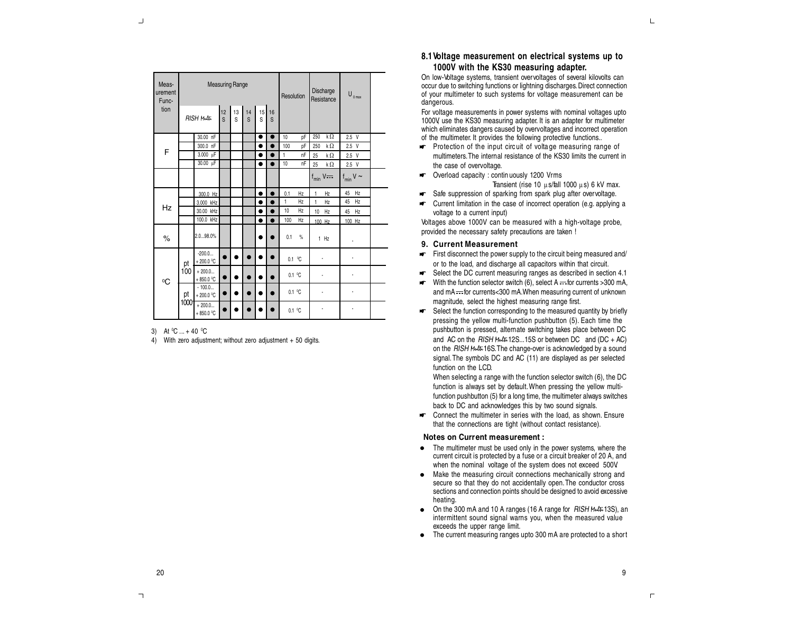| Meas-<br>urement<br>Func- |      | <b>Measuring Range</b>  |                |  |                                                   |           |           |              | Resolution             | Discharge<br>Resistance | $\mathsf{U}_{_{0\max}}$ |  |
|---------------------------|------|-------------------------|----------------|--|---------------------------------------------------|-----------|-----------|--------------|------------------------|-------------------------|-------------------------|--|
| tion                      |      | <b>RISH Multi</b>       | $\frac{12}{S}$ |  | $\begin{array}{c c} 13 & 14 \\ S & S \end{array}$ | 15<br>S   | 16<br>S   |              |                        |                         |                         |  |
|                           |      | 30.00 nF                |                |  |                                                   | $\bullet$ | $\bullet$ | 10           | pF                     | kΩ<br>250               | $2.5$ V                 |  |
| F                         |      | 300.0 nF                |                |  |                                                   | ٠         |           | 100          | DF                     | k $\Omega$<br>250       | $2.5$ V                 |  |
|                           |      | $3.000 \mu F$           |                |  |                                                   |           |           | 1            | nF                     | k $\Omega$<br>25        | $2.5$ V                 |  |
|                           |      | 30.00 µF                |                |  |                                                   |           |           | 10           | nF                     | k $\Omega$<br>25        | $2.5$ V                 |  |
|                           |      |                         |                |  |                                                   |           |           |              |                        | $f_{\min}$ V $\cdots$   | $f_{min}$ V $\sim$      |  |
|                           |      | 300.0 Hz                |                |  |                                                   |           |           | 0.1          | Hz                     | $\mathbf{1}$<br>Hz      | 45<br>Hz                |  |
|                           |      | 3.000 kHz               |                |  |                                                   |           |           | $\mathbf{1}$ | Hz                     | $\mathbf{1}$<br>Hz      | 45<br>Hz                |  |
| Hz                        |      | 30.00 kHz               |                |  |                                                   |           |           | 10           | Hz                     | 10<br>Hz                | 45<br>Hz                |  |
|                           |      | 100.0 kHz               |                |  |                                                   |           |           | 100          | Hz                     | 100 Hz                  | 100 Hz                  |  |
| $\%$                      |      | 2.098.0%                |                |  |                                                   |           |           | 0.1          | %                      | $1$ Hz                  |                         |  |
|                           | pt   | $-200.0$<br>+200.0 $°C$ |                |  |                                                   |           |           |              | $0.1$ °C               |                         |                         |  |
| $^0C$                     | 100  | $+200.0$<br>$+850.0 °C$ |                |  |                                                   |           |           |              | $0.1\text{ }^{\circ}C$ |                         |                         |  |
|                           | pt   | $-100.0$<br>$+200.0 °C$ |                |  |                                                   |           |           | 0.1 °C       |                        |                         |                         |  |
|                           | 1000 | $+200.0$<br>$+850.0$ °C |                |  |                                                   |           |           | 0.1 °C       |                        |                         |                         |  |

#### 3) At <sup>0</sup>C ... + 40 <sup>0</sup>C

4) With zero adjustment; without zero adjustment + 50 digits.

# **8.1Voltage measurement on electrical systems up to 1000V with the KS30 measuring adapter.**

On low-Voltage systems, transient overvoltages of several kilovolts can occur due to switching functions or lightning discharges.Direct connection of your multimeter to such systems for voltage measurement can be dangerous.

For voltage measurements in power systems with nominal voltages upto 1000V, use the KS30 measuring adapter. It is an adapter for multimeter which eliminates dangers caused by overvoltages and incorrect operation of the multimeter. It provides the following protective functions..

- $\blacktriangleright$  Protection of the input circuit of voltage measuring range of multimeters.The internal resistance of the KS30 limits the current in the case of overvoltage.
- **The Coverload capacity : contin uously 1200 Vrms** Transient (rise 10  $\mu$ s/fall 1000  $\mu$ s) 6 kV max.
- Safe suppression of sparking from spark plug after overvoltage.
- Current limitation in the case of incorrect operation (e.g. applying a voltage to a current input)

Voltages above 1000V can be measured with a high-voltage probe, provided the necessary safety precautions are taken !

## **9. Current Measurement**

- $\blacktriangleright$  First disconnect the power supply to the circuit being measured and/ or to the load, and discharge all capacitors within that circuit.
- Select the DC current measuring ranges as described in section 4.1
- $\blacktriangleright$  With the function selector switch (6), select A  $\implies$  for currents >300 mA, and  $mA =$  for currents<300 mA. When measuring current of unknown magnitude, select the highest measuring range first.
- Select the function corresponding to the measured quantity by briefly pressing the yellow multi-function pushbutton (5). Each time the pushbutton is pressed, alternate switching takes place between DC and AC on the RISH *Multi*12S...15S or between DC and (DC + AC) on the RISH *Multi*16S.The change-over is acknowledged by a sound signal.The symbols DC and AC (11) are displayed as per selected function on the LCD.

When selecting a range with the function selector switch (6), the DC function is always set by default. When pressing the yellow multifunction pushbutton (5) for a long time, the multimeter always switches back to DC and acknowledges this by two sound signals.

► Connect the multimeter in series with the load, as shown. Ensure that the connections are tight (without contact resistance).

#### **Notes on Current measurement :**

- The multimeter must be used only in the power systems, where the current circuit is protected by a fuse or a circuit breaker of 20 A, and when the nominal voltage of the system does not exceed 500V.
- Make the measuring circuit connections mechanically strong and secure so that they do not accidentally open.The conductor cross sections and connection points should be designed to avoid excessive heating.
- On the 300 mA and 10 A ranges (16 A range for RISH *Multi*13S), an intermittent sound signal warns you, when the measured value exceeds the upper range limit.
- The current measuring ranges upto 300 mA are protected to a short

 $\mathsf{L}% _{\mathsf{L}}$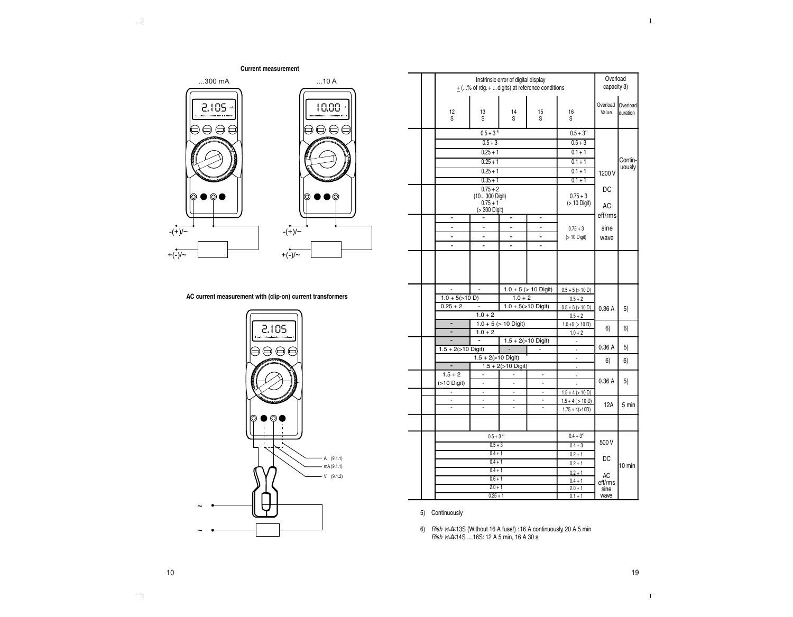**Current measurement** ...300 mA ...10 A 2.105 10.00 mA A  $\Theta$  $\Theta$  $\Theta$ ⊜⊖⊖ ⋒ ര  $- (+)/\sim$  $- (+)/ \sim$  $+(-)/\sim$  $+(-)/\sim$ 

# **AC current measurement with (clip-on) current transformers**



|                          | Instrinsic error of digital display<br>$\pm$ (% of rdg. +  digits) at reference conditions |                                                   |                       |                            |                   |                      |  |  |  |  |  |
|--------------------------|--------------------------------------------------------------------------------------------|---------------------------------------------------|-----------------------|----------------------------|-------------------|----------------------|--|--|--|--|--|
| 12<br>S                  | 13<br>S                                                                                    | 14<br>S                                           | 15<br>S               | 16<br>S                    | Overload<br>Value | Overload<br>duration |  |  |  |  |  |
|                          | $0.5 + 3^{4}$                                                                              |                                                   |                       | $0.5 + 3^{4}$              |                   |                      |  |  |  |  |  |
|                          | $0.5 + 3$                                                                                  |                                                   |                       | $0.5 + 3$                  |                   |                      |  |  |  |  |  |
|                          | $0.25 + 1$                                                                                 |                                                   |                       | $0.1 + 1$                  |                   |                      |  |  |  |  |  |
|                          | $0.25 + 1$                                                                                 |                                                   |                       | $0.1 + 1$                  |                   |                      |  |  |  |  |  |
|                          | $0.25 + 1$                                                                                 |                                                   |                       | $0.1 + 1$                  | 1200 V            | uously               |  |  |  |  |  |
|                          | $0.35 + 1$                                                                                 |                                                   |                       | $0.1 + 1$                  |                   |                      |  |  |  |  |  |
|                          | $0.75 + 2$                                                                                 |                                                   |                       |                            | DC                |                      |  |  |  |  |  |
|                          | (10 300 Digit)<br>$0.75 + 1$                                                               |                                                   |                       | $0.75 + 3$<br>(> 10 Digit) |                   |                      |  |  |  |  |  |
|                          | (> 300 Digit)                                                                              |                                                   |                       |                            | AC                |                      |  |  |  |  |  |
| $\overline{a}$           |                                                                                            | -                                                 | -                     |                            | eff/rms           |                      |  |  |  |  |  |
| $\blacksquare$           | $\blacksquare$                                                                             | $\frac{1}{2}$                                     | $\blacksquare$        | $0.75 + 3$                 | sine              |                      |  |  |  |  |  |
| $\overline{a}$           |                                                                                            | $\blacksquare$                                    | ä,                    | (> 10 Digit)               | wave              |                      |  |  |  |  |  |
| ä,                       | $\overline{a}$                                                                             | ä,                                                | ä,                    |                            |                   |                      |  |  |  |  |  |
|                          |                                                                                            |                                                   |                       |                            |                   |                      |  |  |  |  |  |
| $\frac{1}{2}$            | $\overline{a}$                                                                             | $1.0 + 5$ (> 10 Digit)                            |                       |                            |                   |                      |  |  |  |  |  |
|                          |                                                                                            |                                                   |                       | $0.5 + 5 (> 10 D)$         |                   |                      |  |  |  |  |  |
| $1.0 + 5 (>10 D)$        |                                                                                            | $1.0 + 2$                                         |                       | $0.5 + 2$                  |                   |                      |  |  |  |  |  |
| $0.25 + 2$               | ÷,                                                                                         |                                                   | $1.0 + 5$ (>10 Digit) | $0.5 + 5 (> 10 D)$         | 0.36 A            | 5)                   |  |  |  |  |  |
|                          | $1.0 + 2$                                                                                  |                                                   |                       | $0.5 + 2$                  |                   |                      |  |  |  |  |  |
| $\overline{\phantom{a}}$ |                                                                                            | $1.0 + 5$ (> 10 Digit)                            |                       | $1.0 + 5 (> 10 D)$         |                   |                      |  |  |  |  |  |
| $\overline{\phantom{0}}$ | $1.0 + 2$                                                                                  |                                                   |                       | $1.0 + 2$                  | 6)                | 6)                   |  |  |  |  |  |
|                          | ä,                                                                                         |                                                   | $1.5 + 2$ (>10 Digit) |                            |                   |                      |  |  |  |  |  |
| $1.5 + 2$ (>10 Digit)    |                                                                                            |                                                   |                       |                            | 0.36A             | 5)                   |  |  |  |  |  |
| Ξ                        | $1.5 + 2 (>10$ Digit)                                                                      |                                                   |                       | l,<br>l,                   | 6)                | 6)                   |  |  |  |  |  |
| $1.5 + 2$                | $\overline{\phantom{a}}$                                                                   | $1.5 + 2$ (>10 Digit)<br>$\overline{\phantom{a}}$ | ÷,                    | ÷,                         |                   |                      |  |  |  |  |  |
| $(>10$ Digit)            | $\overline{a}$                                                                             | $\overline{a}$                                    | $\overline{a}$        |                            | 0.36A             | 5)                   |  |  |  |  |  |
| ä,                       | $\overline{a}$                                                                             | $\overline{a}$                                    | $\blacksquare$        | $1.5 + 4$ (> 10 D)         |                   |                      |  |  |  |  |  |
| $\frac{1}{2}$            | $\frac{1}{2}$                                                                              | $\overline{\phantom{0}}$                          | $\blacksquare$        | $1.5 + 4$ ( $> 10$ D)      |                   |                      |  |  |  |  |  |
|                          |                                                                                            |                                                   |                       | $1.75 + 4(>10D)$           | 12A               | 5 min                |  |  |  |  |  |
|                          |                                                                                            |                                                   |                       |                            |                   |                      |  |  |  |  |  |
|                          | $0.5 + 34$                                                                                 |                                                   |                       | $0.4 + 3^{4}$              |                   |                      |  |  |  |  |  |
|                          | $0.5 + 3$                                                                                  |                                                   |                       | $0.4 + 3$                  | 500 V             |                      |  |  |  |  |  |
|                          | $0.4 + 1$                                                                                  |                                                   |                       | $0.2 + 1$                  |                   |                      |  |  |  |  |  |
|                          | $0.4 + 1$                                                                                  |                                                   |                       | $0.2 + 1$                  | DC                | 10 min               |  |  |  |  |  |
|                          | $0.4 + 1$                                                                                  |                                                   |                       | $0.2 + 1$                  |                   |                      |  |  |  |  |  |
|                          | $0.6 + 1$                                                                                  |                                                   |                       | $0.4 + 1$                  | AC<br>eff/rms     |                      |  |  |  |  |  |
|                          | $2.0 + 1$<br>$0.25 + 1$                                                                    |                                                   |                       | $2.0 + 1$<br>$0.1 + 1$     | sine<br>wave      |                      |  |  |  |  |  |

# 5) Continuously

6) Rish *Multi*13S (Without 16 A fuse!) : 16 A continuously, 20 A 5 min Rish *Multi*14S ... 16S: 12 A 5 min, 16 A 30 s

19

 $\daleth$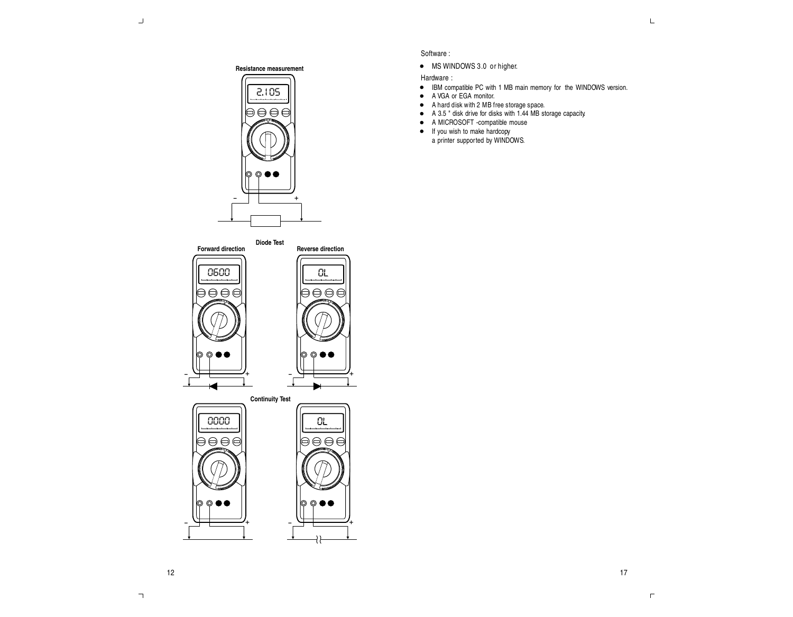17

 $\Gamma$ 





- <sup>+</sup> - <sup>+</sup>

# Software :

 $\bullet$  MS WINDOWS 3.0 or higher.

Hardware :

- IBM compatible PC with 1 MB main memory for the WINDOWS version.
- A VGA or EGA monitor.
- A hard disk with 2 MB free storage space.
- A 3.5 " disk drive for disks with 1.44 MB storage capacity.
- A MICROSOFT -compatible mouse
- If you wish to make hardcopy
- a printer supported by WINDOWS.

 $\daleth$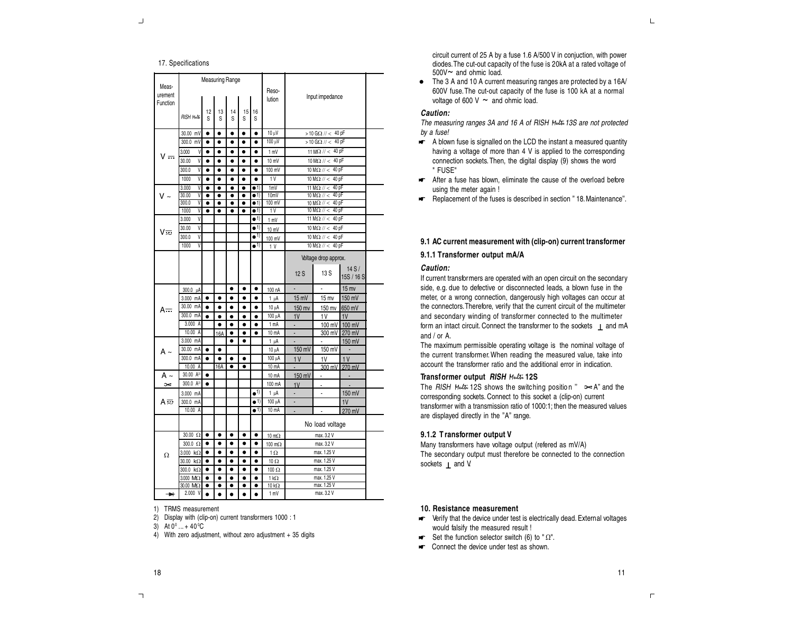# 17. Specifications

| Meas-               |                                          |                        | <b>Measuring Range</b>    |                        |                           |                              |                             |                                                                        |                             |                    |  |  |
|---------------------|------------------------------------------|------------------------|---------------------------|------------------------|---------------------------|------------------------------|-----------------------------|------------------------------------------------------------------------|-----------------------------|--------------------|--|--|
| urement<br>Function |                                          |                        |                           |                        |                           |                              | Reso-<br>lution             |                                                                        | Input impedance             |                    |  |  |
|                     | <b>RISH Multi</b>                        | 12<br>Ś                | 13<br>S                   | 14<br>S                | 15<br>S                   | 16<br>S                      |                             |                                                                        |                             |                    |  |  |
|                     | 30.00<br>mV                              | ٠                      | ٠                         | $\bullet$              | ٠                         | $\bullet$                    | 10 µV                       |                                                                        | > 10 G $\Omega$ // < 40 pF  |                    |  |  |
|                     | 300.0 mV                                 | $\bullet$              | ٠                         | ٠                      | $\bullet$                 | $\bullet$                    | $100 \mu V$                 |                                                                        | > 10 G $\Omega$ // < 40 pF  |                    |  |  |
|                     | 3.000<br>V                               | $\bullet$              | $\bullet$                 | $\bullet$              | $\bullet$                 | $\bullet$                    | 1 mV                        |                                                                        | 11 M $\Omega$ // < 40 pF    |                    |  |  |
| v <del></del>       | 30.00<br>V                               | $\bullet$              | $\bullet$                 | $\bullet$              | $\bullet$                 | $\bullet$                    | 10 mV                       |                                                                        | 10 M $\Omega$ // < 40 pF    |                    |  |  |
|                     | 300.0<br>V                               | ۰                      | $\bullet$                 | $\bullet$              | $\bullet$                 | ٠                            | 100 mV                      |                                                                        | 10 M $\Omega$ // <<br>40 pF |                    |  |  |
|                     | 1000<br>V                                | ٠                      | $\bullet$                 | ٠                      | $\bullet$                 | $\bullet$                    | 1V                          | $10 \text{ M}\Omega$ // < 40 pF                                        |                             |                    |  |  |
|                     | 3.000<br>V                               | ٠                      | $\bullet$                 | ۰                      | ٠                         | $\overline{\bullet}$ 1)      | 1 <sub>m</sub> V            | 40 pF<br>11 $M\Omega$ // <                                             |                             |                    |  |  |
| v ~                 | 30.00<br>$\overline{\mathsf{V}}$<br>V    | $\bullet$              | $\overline{\bullet}$<br>٠ | $\overline{\bullet}$   | $\overline{\bullet}$<br>٠ | $\bullet$ 1)<br>$\bullet$ 1) | 10mV<br>100 mV              | $10 \text{ M}\Omega$ // <<br>40 pF                                     |                             |                    |  |  |
|                     | 300.0<br>1000<br>$\overline{\mathsf{V}}$ | $\bullet$              | $\bullet$                 | $\bullet$              | $\bullet$                 | $\bullet$ 1)                 | 1V                          | 10 M $\overline{\Omega}$ // < 40 pF<br>$10 \text{ M}\Omega$ // < 40 pF |                             |                    |  |  |
|                     | V<br>3.000                               |                        |                           |                        |                           | $\bullet$ <sup>1)</sup>      | 1 mV                        | 11 M $\Omega$ // <                                                     |                             |                    |  |  |
|                     | V<br>30.00                               |                        |                           |                        |                           | $\bullet$ <sup>1)</sup>      | 10 mV                       | 10 M $\Omega$ // <                                                     |                             |                    |  |  |
| V≂                  | V<br>300.0                               |                        |                           |                        |                           | $\bullet^{1)}$               | 100 mV                      | $10 \text{ M}\Omega$ // < 40 pF                                        |                             |                    |  |  |
|                     | 1000<br>V                                |                        |                           |                        |                           | $\bullet$ <sup>1)</sup>      | 1 <sup>V</sup>              | $10 M\Omega$ // < 40 pF                                                |                             |                    |  |  |
|                     |                                          |                        |                           |                        |                           |                              |                             | Voltage drop approx.                                                   |                             |                    |  |  |
|                     |                                          |                        |                           |                        |                           |                              |                             | 12S                                                                    | 13 S                        | 14S/<br>15S / 16 S |  |  |
|                     |                                          |                        |                           | ٠                      |                           |                              |                             |                                                                        |                             |                    |  |  |
|                     | 300.0 µA                                 |                        |                           |                        | ٠                         | $\bullet$                    | 100 nA                      |                                                                        |                             | $15$ mv            |  |  |
|                     | 3.000 mA<br>30.00 mA                     | $\bullet$              | $\bullet$                 | ٠                      | ٠                         | $\bullet$                    | $1 \mu A$                   | 15 mV                                                                  | $15$ mv                     | 150 mV             |  |  |
| A <del></del>       | 300.0 mA                                 | $\bullet$<br>$\bullet$ | ٠                         | ٠<br>$\bullet$         | ٠                         | ٠                            | 10 µA<br>100 µA             | 150 mv                                                                 | 150 mv                      | 650 mV             |  |  |
|                     | 3.000 A                                  |                        | $\bullet$<br>٠            | ٠                      | $\bullet$                 | $\bullet$<br>٠               | 1 mA                        | 1V<br>ä,                                                               | 1V<br>100 mV                | 1V<br>100 mV       |  |  |
|                     | 10.00 A                                  |                        | 16A                       | ٠                      | ٠                         | ٠                            | 10 mA                       | ÷,                                                                     | 300 mV                      | 270 mV             |  |  |
|                     | 3.000 mA                                 |                        |                           | ٠                      | ۰                         |                              | 1 µA                        |                                                                        | ä,                          | 150 mV             |  |  |
| A ~                 | 30.00 mA                                 | $\bullet$              | $\bullet$                 |                        |                           |                              | 10 µA                       | 150 mV                                                                 | 150 mV                      | ä,                 |  |  |
|                     | 300.0 mA                                 | $\bullet$              | $\bullet$                 | ٠                      | ٠                         |                              | 100 µA                      | 1 <sup>V</sup>                                                         | 1V                          | 1V                 |  |  |
|                     | 10.00 A                                  |                        | 16A                       | ٠                      | ٠                         |                              | 10 mA                       | L,                                                                     | 300 mV                      | 270 mV             |  |  |
| A ~                 | $30.00 A^{2}$                            | ۰                      |                           |                        |                           |                              | 10 mA                       | 150 mV                                                                 | ٠                           |                    |  |  |
| $\geq$              | 300.0 A <sup>2)</sup>                    | $\bullet$              |                           |                        |                           |                              | 100 mA                      | 1V                                                                     |                             |                    |  |  |
|                     | 3.000 mA                                 |                        |                           |                        |                           | $\bullet$ <sup>1)</sup>      | $1 \mu$ A                   | ÷,                                                                     | ä,                          | 150 mV             |  |  |
| A志                  | 300.0 mA                                 |                        |                           |                        |                           | $\bullet$ 1)                 | 100 µA                      | ÷                                                                      |                             | 1V                 |  |  |
|                     | 10.00 A                                  |                        |                           |                        |                           | $\bullet$ 1)                 | $10 \text{ mA}$             |                                                                        |                             | 270 mV             |  |  |
|                     |                                          |                        |                           |                        |                           |                              |                             | No load voltage                                                        |                             |                    |  |  |
|                     | $30.00 \Omega$                           | $\bullet$              | $\bullet$                 | $\bullet$              | $\bullet$                 | $\bullet$                    | 10 $m\Omega$                |                                                                        | max. 3.2 V<br>max. 3.2 V    |                    |  |  |
|                     | $300.0 \Omega$                           | $\bullet$              | $\bullet$                 | $\bullet$              | $\bullet$                 | $\bullet$                    | 100 $m\Omega$               |                                                                        |                             |                    |  |  |
| Ω                   | 3.000 kΩ                                 | $\bullet$              | $\bullet$                 | $\bullet$              | $\bullet$                 | $\bullet$                    | $1 \Omega$                  |                                                                        | max. 1.25 V                 |                    |  |  |
|                     | 30.00 kΩ                                 | $\bullet$              | $\bullet$                 | $\bullet$              | $\bullet$                 | $\bullet$                    | $10 \Omega$                 |                                                                        | max. 1.25 V                 |                    |  |  |
|                     | $300.0 \text{ k}\Omega$                  | $\bullet$              | $\bullet$                 | $\bullet$              | $\bullet$                 | $\bullet$                    | 100 Ω                       |                                                                        | max. 1.25 V                 |                    |  |  |
|                     | 3.000 MO2<br>30.00 MO2                   | $\bullet$<br>٠         | $\bullet$<br>٠            | $\bullet$<br>$\bullet$ | $\bullet$<br>$\bullet$    | $\bullet$<br>٠               | $1 k\Omega$<br>10 $k\Omega$ |                                                                        | max. 1.25 V<br>max. 1.25 V  |                    |  |  |
| $\rightarrow$       | 2.000 V                                  |                        |                           |                        |                           |                              | 1 mV                        |                                                                        | max. 3.2 V                  |                    |  |  |
|                     |                                          |                        |                           |                        |                           |                              |                             |                                                                        |                             |                    |  |  |

1) TRMS measurement

2) Display with (clip-on) current transformers 1000 : 1

3) At  $0^{\circ}$  ... + 40 $^{\circ}$ C

4) With zero adjustment, without zero adjustment + 35 digits

circuit current of 25 A by a fuse 1.6 A/500 V in conjuction, with power diodes.The cut-out capacity of the fuse is 20kA at a rated voltage of 500V~ and ohmic load.

• The 3 A and 10 A current measuring ranges are protected by a 16A/ 600V fuse.The cut-out capacity of the fuse is 100 kA at a normal voltage of 600 V  $\sim$  and ohmic load.

# **Caution:**

The measuring ranges 3A and 16 A of RISH *Multi*13S are not protected by <sup>a</sup> fuse!

- A blown fuse is signalled on the LCD the instant a measured quantity having a voltage of more than 4 V is applied to the corresponding connection sockets.Then, the digital display (9) shows the word " FUSE"
- After a fuse has blown, eliminate the cause of the overload before using the meter again !
- Replacement of the fuses is described in section "18. Maintenance".

# **9.1 AC current measurement with (clip-on) current transformer**

**9.1.1 Transformer output mA/A**

# **Caution:**

If current transformers are operated with an open circuit on the secondary side, e.g. due to defective or disconnected leads, a blown fuse in the meter, or a wrong connection, dangerously high voltages can occur at the connectors.Therefore, verify that the current circuit of the multimeter and secondary winding of transformer connected to the multimeter form an intact circuit. Connect the transformer to the sockets  $\perp$  and mA and / or A.

The maximum permissible operating voltage is the nominal voltage of the current transformer. When reading the measured value, take into account the transformer ratio and the additional error in indication.

# **Transformer output RISH** *Multi* **12S**

The  $RISH$  *Multi* 12S shows the switching position "  $\infty$  A" and the corresponding sockets. Connect to this socket a (clip-on) current transformer with a transmission ratio of 1000:1; then the measured values are displayed directly in the "A" range.

## **9.1.2 T ransformer output V**

Many transformers have voltage output (refered as mV/A) The secondary output must therefore be connected to the connection sockets  $\perp$  and V.

# **10. Resistance measurement**

- **v** Verify that the device under test is electrically dead. External voltages would falsify the measured result !
- $\blacktriangleright$  Set the function selector switch (6) to " $\Omega$ ".
- **Connect the device under test as shown.**

 $\mathsf{L}% _{\mathsf{L}}$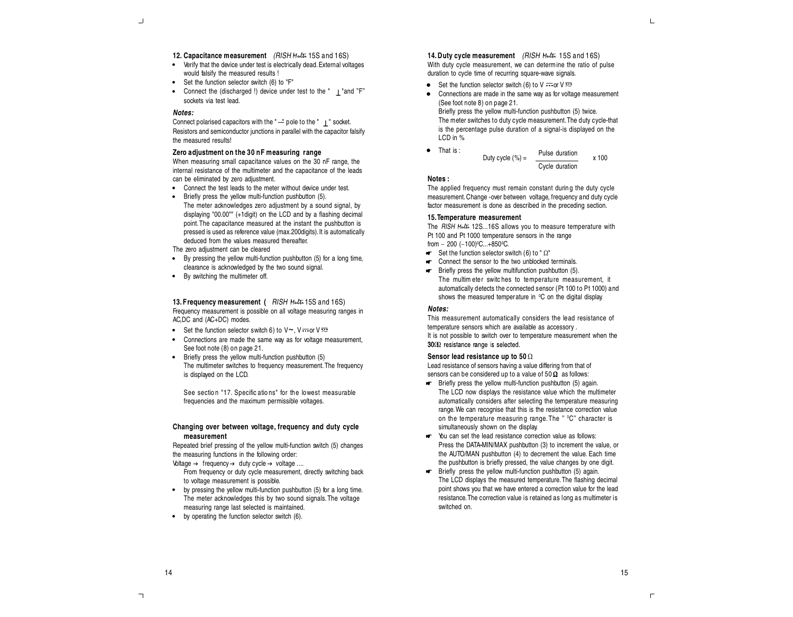#### **12. Capacitance measurement** (RISH *Multi* 15S and 16S)

- Verify that the device under test is electrically dead.External voltages would falsify the measured results !
- Set the function selector switch (6) to "F"
- Connect the (discharged !) device under test to the " | "and "F" sockets via test lead.

#### **Notes:**

Connect polarised capacitors with the " $-$ " pole to the "  $\vert$  " socket. Resistors and semiconductor junctions in parallel with the capacitor falsify the measured results!

# **Zero adjustment on the 30 nF measuring range**

When measuring small capacitance values on the 30 nF range, the internal resistance of the multimeter and the capacitance of the leads can be eliminated by zero adjustment.

- Connect the test leads to the meter without device under test.
- Briefly press the yellow multi-function pushbutton (5). The meter acknowledges zero adjustment by a sound signal, by displaying "00.00"" (+1digit) on the LCD and by a flashing decimal point.The capacitance measured at the instant the pushbutton is pressed is used as reference value (max.200digits).It is automatically deduced from the values measured thereafter.

The zero adjustment can be cleared

- By pressing the yellow multi-function pushbutton (5) for a long time, clearance is acknowledged by the two sound signal.
- By switching the multimeter off.

**13. Frequency measurement (** RISH *Multi* 15S and 16S) Frequency measurement is possible on all voltage measuring ranges in AC,DC and (AC+DC) modes.

- Set the function selector switch 6) to  $V \sim V \sim V \approx$
- Connections are made the same way as for voltage measurement, See foot note (8) on page 21.
- Briefly press the yellow multi-function pushbutton (5) The multimeter switches to frequency measurement.The frequency is displayed on the LCD.

See section "17. Specific ations" for the lowest measurable frequencies and the maximum permissible voltages.

# **Changing over between voltage, frequency and duty cycle measurement**

Repeated brief pressing of the yellow multi-function switch (5) changes the measuring functions in the following order:

Voltage  $\rightarrow$  frequency  $\rightarrow$  duty cycle  $\rightarrow$  voltage ....

- From frequency or duty cycle measurement, directly switching back to voltage measurement is possible.
- by pressing the yellow multi-function pushbutton (5) for a long time. The meter acknowledges this by two sound signals.The voltage measuring range last selected is maintained.
- by operating the function selector switch (6).

## **14. Duty cycle measurement** (RISH *Multi* 15S and 16S) With duty cycle measurement, we can determine the ratio of pulse duration to cycle time of recurring square-wave signals.

- Set the function selector switch (6) to  $V = \alpha V \ge 0$
- $\bullet$ Connections are made in the same way as for voltage measurement (See foot note 8) on page 21. Briefly press the yellow multi-function pushbutton (5) twice. The meter switches to duty cycle measurement.The duty cycle-that

is the percentage pulse duration of a signal-is displayed on the LCD in %

That is : 
$$
Duty cycle (\%) = \frac{Pulse duration}{Cycle duration} \times 100
$$

#### **Notes :**

The applied frequency must remain constant during the duty cycle measurement. Change -over between voltage, frequency and duty cycle factor measurement is done as described in the preceding section.

#### **15.Temperature measurement**

The RISH *Multi* 12S...16S allows you to measure temperature with Pt 100 and Pt 1000 temperature sensors in the range from – 200 (–100)°C...+850°C.

- $\blacktriangleright$  Set the function selector switch (6) to " $\Omega$ "
- KF. Connect the sensor to the two unblocked terminals.
- ИF. Briefly press the yellow multifunction pushbutton (5). The multim eter switc hes to temperature measurement, it automatically detects the connected sensor (Pt 100 to Pt 1000) and shows the measured temperature in <sup>0</sup>C on the digital display.

# **Notes:**

This measurement automatically considers the lead resistance of temperature sensors which are available as accessory . It is not possible to switch over to temperature measurement when the  $30\Omega$  resistance range is selected.

#### **Sensor lead resistance up to 50** W

Lead resistance of sensors having a value differing from that of sensors can be considered up to a value of  $50\,\Omega$  as follows:

- **Briefly press the vellow multi-function pushbutton (5) again.** The LCD now displays the resistance value which the multimeter automatically considers after selecting the temperature measuring range.We can recognise that this is the resistance correction value on the temperature measuring range. The "  $^{\circ}$ C" character is simultaneously shown on the display.
- $\blacktriangleright$  You can set the lead resistance correction value as follows: Press the DATA-MIN/MAX pushbutton (3) to increment the value, or the AUTO/MAN pushbutton (4) to decrement the value. Each time the pushbutton is briefly pressed, the value changes by one digit.
- F Briefly press the vellow multi-function pushbutton (5) again. The LCD displays the measured temperature.The flashing decimal point shows you that we have entered a correction value for the lead resistance.The correction value is retained as long as multimeter is switched on.